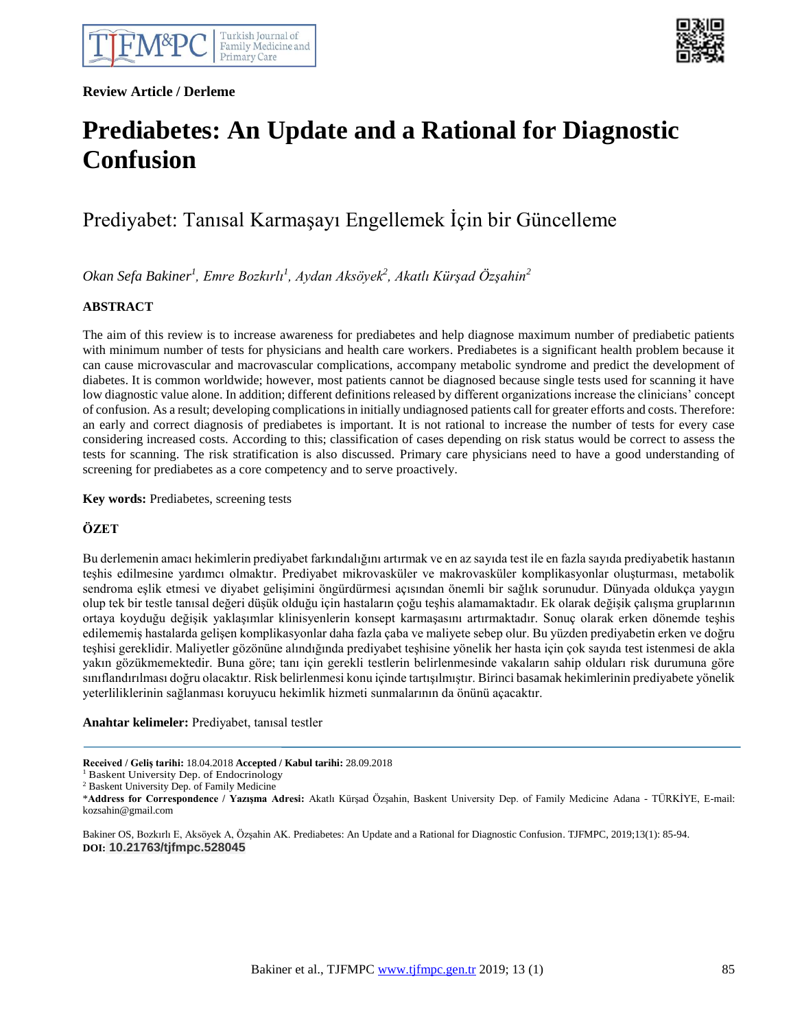**Review Article / Derleme**



# **Prediabetes: An Update and a Rational for Diagnostic Confusion**

# Prediyabet: Tanısal Karmaşayı Engellemek İçin bir Güncelleme

*Okan Sefa Bakiner<sup>1</sup> , Emre Bozkırlı<sup>1</sup> , Aydan Aksöyek<sup>2</sup> , Akatlı Kürşad Özşahin<sup>2</sup>*

### **ABSTRACT**

The aim of this review is to increase awareness for prediabetes and help diagnose maximum number of prediabetic patients with minimum number of tests for physicians and health care workers. Prediabetes is a significant health problem because it can cause microvascular and macrovascular complications, accompany metabolic syndrome and predict the development of diabetes. It is common worldwide; however, most patients cannot be diagnosed because single tests used for scanning it have low diagnostic value alone. In addition; different definitions released by different organizations increase the clinicians' concept of confusion. As a result; developing complications in initially undiagnosed patients call for greater efforts and costs. Therefore: an early and correct diagnosis of prediabetes is important. It is not rational to increase the number of tests for every case considering increased costs. According to this; classification of cases depending on risk status would be correct to assess the tests for scanning. The risk stratification is also discussed. Primary care physicians need to have a good understanding of screening for prediabetes as a core competency and to serve proactively.

**Key words:** Prediabetes, screening tests

## **ÖZET**

Bu derlemenin amacı hekimlerin prediyabet farkındalığını artırmak ve en az sayıda test ile en fazla sayıda prediyabetik hastanın teşhis edilmesine yardımcı olmaktır. Prediyabet mikrovasküler ve makrovasküler komplikasyonlar oluşturması, metabolik sendroma eşlik etmesi ve diyabet gelişimini öngürdürmesi açısından önemli bir sağlık sorunudur. Dünyada oldukça yaygın olup tek bir testle tanısal değeri düşük olduğu için hastaların çoğu teşhis alamamaktadır. Ek olarak değişik çalışma gruplarının ortaya koyduğu değişik yaklaşımlar klinisyenlerin konsept karmaşasını artırmaktadır. Sonuç olarak erken dönemde teşhis edilememiş hastalarda gelişen komplikasyonlar daha fazla çaba ve maliyete sebep olur. Bu yüzden prediyabetin erken ve doğru teşhisi gereklidir. Maliyetler gözönüne alındığında prediyabet teşhisine yönelik her hasta için çok sayıda test istenmesi de akla yakın gözükmemektedir. Buna göre; tanı için gerekli testlerin belirlenmesinde vakaların sahip olduları risk durumuna göre sınıflandırılması doğru olacaktır. Risk belirlenmesi konu içinde tartışılmıştır. Birinci basamak hekimlerinin prediyabete yönelik yeterliliklerinin sağlanması koruyucu hekimlik hizmeti sunmalarının da önünü açacaktır.

**Anahtar kelimeler:** Prediyabet, tanısal testler

Bakiner OS, Bozkırlı E, Aksöyek A, Özşahin AK. Prediabetes: An Update and a Rational for Diagnostic Confusion. TJFMPC, 2019;13(1): 85-94. **DOI: 10.21763/tjfmpc.528045**

**Received / Geliş tarihi:** 18.04.2018 **Accepted / Kabul tarihi:** 28.09.2018

<sup>&</sup>lt;sup>1</sup> Baskent University Dep. of Endocrinology

<sup>2</sup> Baskent University Dep. of Family Medicine

<sup>\*</sup>**Address for Correspondence / Yazışma Adresi:** Akatlı Kürşad Özşahin, Baskent University Dep. of Family Medicine Adana - TÜRKİYE, E-mail: kozsahin@gmail.com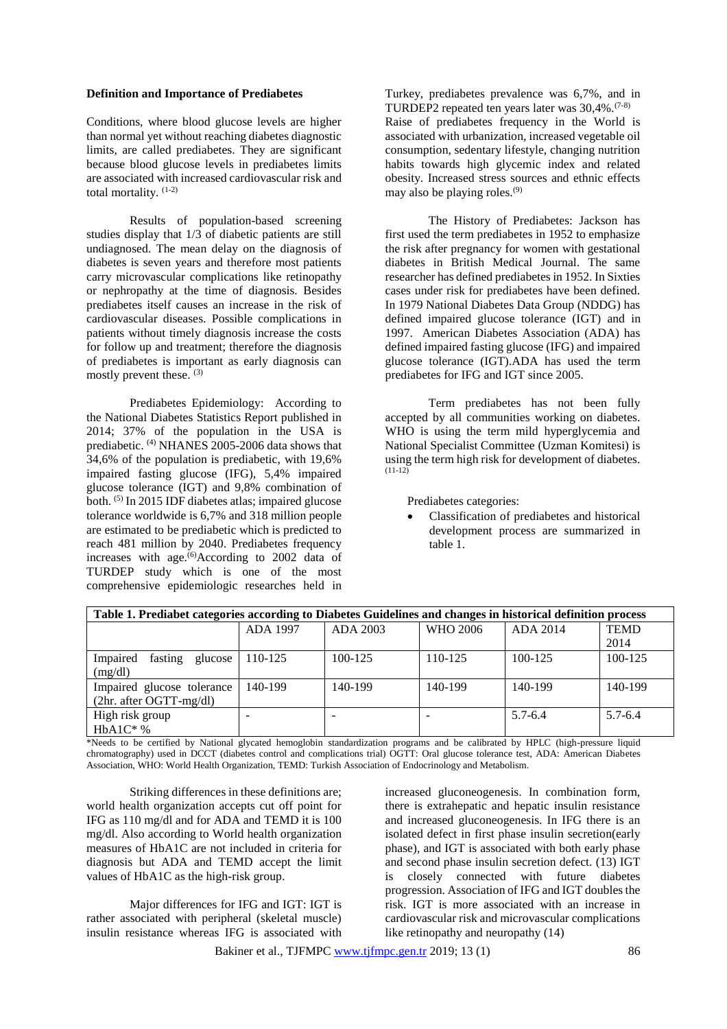#### **Definition and Importance of Prediabetes**

Conditions, where blood glucose levels are higher than normal yet without reaching diabetes diagnostic limits, are called prediabetes. They are significant because blood glucose levels in prediabetes limits are associated with increased cardiovascular risk and total mortality. (1-2)

Results of population-based screening studies display that 1/3 of diabetic patients are still undiagnosed. The mean delay on the diagnosis of diabetes is seven years and therefore most patients carry microvascular complications like retinopathy or nephropathy at the time of diagnosis. Besides prediabetes itself causes an increase in the risk of cardiovascular diseases. Possible complications in patients without timely diagnosis increase the costs for follow up and treatment; therefore the diagnosis of prediabetes is important as early diagnosis can mostly prevent these.<sup>(3)</sup>

Prediabetes Epidemiology: According to the National Diabetes Statistics Report published in 2014; 37% of the population in the USA is prediabetic. (4) NHANES 2005-2006 data shows that 34,6% of the population is prediabetic, with 19,6% impaired fasting glucose (IFG), 5,4% impaired glucose tolerance (IGT) and 9,8% combination of both. (5) In 2015 IDF diabetes atlas; impaired glucose tolerance worldwide is 6,7% and 318 million people are estimated to be prediabetic which is predicted to reach 481 million by 2040. Prediabetes frequency increases with age.<sup> $(6)$ </sup>According to 2002 data of TURDEP study which is one of the most comprehensive epidemiologic researches held in

Turkey, prediabetes prevalence was 6,7%, and in TURDEP2 repeated ten years later was 30,4%.(7-8) Raise of prediabetes frequency in the World is associated with urbanization, increased vegetable oil consumption, sedentary lifestyle, changing nutrition habits towards high glycemic index and related obesity. Increased stress sources and ethnic effects may also be playing roles. $(9)$ 

The History of Prediabetes: Jackson has first used the term prediabetes in 1952 to emphasize the risk after pregnancy for women with gestational diabetes in British Medical Journal. The same researcher has defined prediabetes in 1952. In Sixties cases under risk for prediabetes have been defined. In 1979 National Diabetes Data Group (NDDG) has defined impaired glucose tolerance (IGT) and in 1997. American Diabetes Association (ADA) has defined impaired fasting glucose (IFG) and impaired glucose tolerance (IGT).ADA has used the term prediabetes for IFG and IGT since 2005.

Term prediabetes has not been fully accepted by all communities working on diabetes. WHO is using the term mild hyperglycemia and National Specialist Committee (Uzman Komitesi) is using the term high risk for development of diabetes.  $(11-12)$ 

Prediabetes categories:

• Classification of prediabetes and historical development process are summarized in table 1.

| Table 1. Prediabet categories according to Diabetes Guidelines and changes in historical definition process |                 |             |          |             |             |  |
|-------------------------------------------------------------------------------------------------------------|-----------------|-------------|----------|-------------|-------------|--|
|                                                                                                             | <b>ADA 1997</b> | ADA 2003    | WHO 2006 | ADA 2014    | <b>TEMD</b> |  |
|                                                                                                             |                 |             |          |             | 2014        |  |
| Impaired<br>fasting<br>glucose                                                                              | 110-125         | $100 - 125$ | 110-125  | 100-125     | 100-125     |  |
| (mg/dl)                                                                                                     |                 |             |          |             |             |  |
| Impaired glucose tolerance                                                                                  | 140-199         | 140-199     | 140-199  | 140-199     | 140-199     |  |
| $(2hr. after OGTT-mg/dl)$                                                                                   |                 |             |          |             |             |  |
| High risk group                                                                                             | -               | -           |          | $5.7 - 6.4$ | $5.7 - 6.4$ |  |
| $HbA1C^*$ %                                                                                                 |                 |             |          |             |             |  |

\*Needs to be certified by National glycated hemoglobin standardization programs and be calibrated by HPLC (high-pressure liquid chromatography) used in DCCT (diabetes control and complications trial) OGTT: Oral glucose tolerance test, ADA: American Diabetes Association, WHO: World Health Organization, TEMD: Turkish Association of Endocrinology and Metabolism.

Striking differences in these definitions are; world health organization accepts cut off point for IFG as 110 mg/dl and for ADA and TEMD it is 100 mg/dl. Also according to World health organization measures of HbA1C are not included in criteria for diagnosis but ADA and TEMD accept the limit values of HbA1C as the high-risk group.

Major differences for IFG and IGT: IGT is rather associated with peripheral (skeletal muscle) insulin resistance whereas IFG is associated with

increased gluconeogenesis. In combination form, there is extrahepatic and hepatic insulin resistance and increased gluconeogenesis. In IFG there is an isolated defect in first phase insulin secretion(early phase), and IGT is associated with both early phase and second phase insulin secretion defect. (13) IGT is closely connected with future diabetes progression. Association of IFG and IGT doubles the risk. IGT is more associated with an increase in cardiovascular risk and microvascular complications like retinopathy and neuropathy (14)

Bakiner et al., TJFMP[C www.tjfmpc.gen.tr](http://www.tjfmpc.gen.tr/) 2019; 13 (1) 86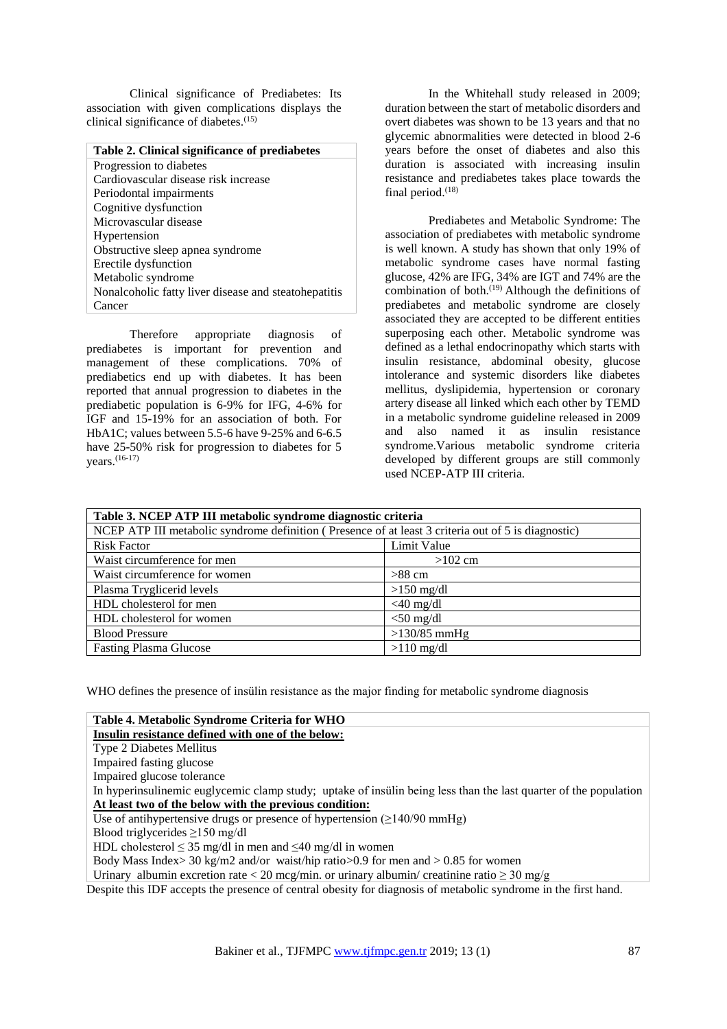Clinical significance of Prediabetes: Its association with given complications displays the clinical significance of diabetes.<sup>(15)</sup>

#### **Table 2. Clinical significance of prediabetes** Progression to diabetes Cardiovascular disease risk increase Periodontal impairments Cognitive dysfunction Microvascular disease Hypertension Obstructive sleep apnea syndrome Erectile dysfunction Metabolic syndrome Nonalcoholic fatty liver disease and steatohepatitis Cancer

Therefore appropriate diagnosis of prediabetes is important for prevention and management of these complications. 70% of prediabetics end up with diabetes. It has been reported that annual progression to diabetes in the prediabetic population is 6-9% for IFG, 4-6% for IGF and 15-19% for an association of both. For HbA1C; values between 5.5-6 have 9-25% and 6-6.5 have 25-50% risk for progression to diabetes for 5 years.(16-17)

In the Whitehall study released in 2009; duration between the start of metabolic disorders and overt diabetes was shown to be 13 years and that no glycemic abnormalities were detected in blood 2-6 years before the onset of diabetes and also this duration is associated with increasing insulin resistance and prediabetes takes place towards the final period. $(18)$ 

Prediabetes and Metabolic Syndrome: The association of prediabetes with metabolic syndrome is well known. A study has shown that only 19% of metabolic syndrome cases have normal fasting glucose, 42% are IFG, 34% are IGT and 74% are the combination of both. $(19)$  Although the definitions of prediabetes and metabolic syndrome are closely associated they are accepted to be different entities superposing each other. Metabolic syndrome was defined as a lethal endocrinopathy which starts with insulin resistance, abdominal obesity, glucose intolerance and systemic disorders like diabetes mellitus, dyslipidemia, hypertension or coronary artery disease all linked which each other by TEMD in a metabolic syndrome guideline released in 2009 and also named it as insulin resistance syndrome.Various metabolic syndrome criteria developed by different groups are still commonly used NCEP-ATP III criteria.

| Table 3. NCEP ATP III metabolic syndrome diagnostic criteria                                        |                |  |  |
|-----------------------------------------------------------------------------------------------------|----------------|--|--|
| NCEP ATP III metabolic syndrome definition (Presence of at least 3 criteria out of 5 is diagnostic) |                |  |  |
| <b>Risk Factor</b>                                                                                  | Limit Value    |  |  |
| Waist circumference for men                                                                         | $>102$ cm      |  |  |
| Waist circumference for women                                                                       | $>88$ cm       |  |  |
| Plasma Tryglicerid levels                                                                           | $>150$ mg/dl   |  |  |
| HDL cholesterol for men                                                                             | $<$ 40 mg/dl   |  |  |
| HDL cholesterol for women                                                                           | $<$ 50 mg/dl   |  |  |
| <b>Blood Pressure</b>                                                                               | $>130/85$ mmHg |  |  |
| <b>Fasting Plasma Glucose</b>                                                                       | $>110$ mg/dl   |  |  |

WHO defines the presence of insülin resistance as the major finding for metabolic syndrome diagnosis

**Table 4. Metabolic Syndrome Criteria for WHO Insulin resistance defined with one of the below:** Type 2 Diabetes Mellitus Impaired fasting glucose Impaired glucose tolerance In hyperinsulinemic euglycemic clamp study; uptake of insülin being less than the last quarter of the population **At least two of the below with the previous condition:** Use of antihypertensive drugs or presence of hypertension  $(\geq 140/90 \text{ mmHg})$ Blood triglycerides ≥150 mg/dl HDL cholesterol  $\leq$  35 mg/dl in men and  $\leq$ 40 mg/dl in women Body Mass Index> 30 kg/m2 and/or waist/hip ratio>0.9 for men and > 0.85 for women Urinary albumin excretion rate < 20 mcg/min. or urinary albumin/ creatinine ratio  $\geq 30$  mg/g Despite this IDF accepts the presence of central obesity for diagnosis of metabolic syndrome in the first hand.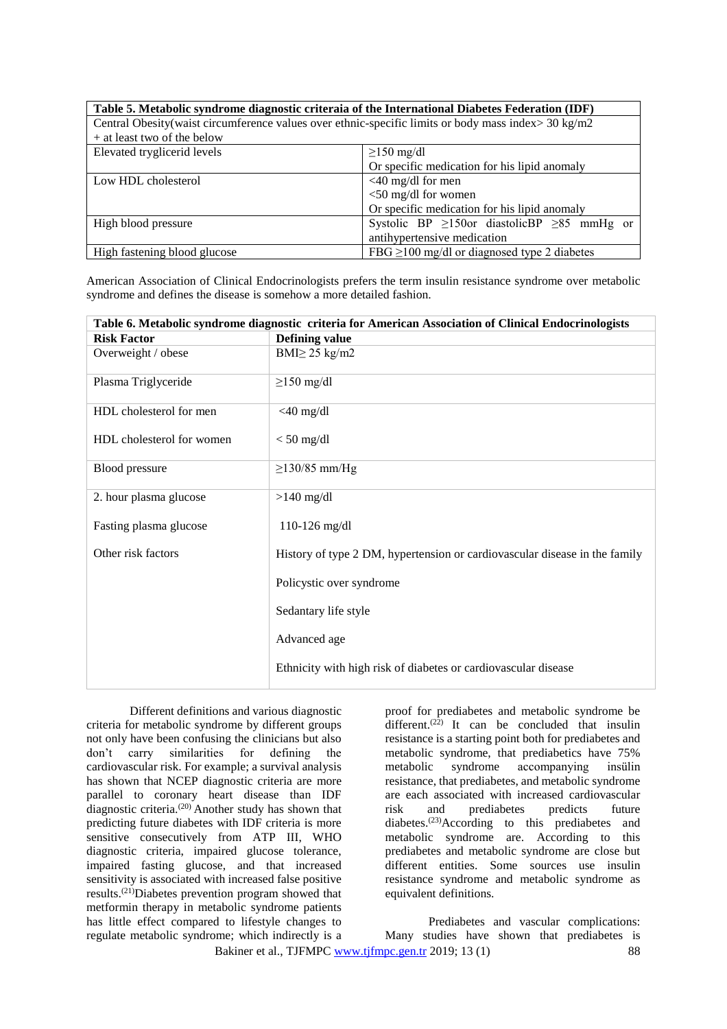| Table 5. Metabolic syndrome diagnostic criteraia of the International Diabetes Federation (IDF)      |                                                        |  |  |
|------------------------------------------------------------------------------------------------------|--------------------------------------------------------|--|--|
| Central Obesity (waist circumference values over ethnic-specific limits or body mass index> 30 kg/m2 |                                                        |  |  |
| $+$ at least two of the below                                                                        |                                                        |  |  |
| Elevated tryglicerid levels                                                                          | $\geq$ 150 mg/dl                                       |  |  |
|                                                                                                      | Or specific medication for his lipid anomaly           |  |  |
| Low HDL cholesterol                                                                                  | $<$ 40 mg/dl for men                                   |  |  |
|                                                                                                      | $<$ 50 mg/dl for women                                 |  |  |
|                                                                                                      | Or specific medication for his lipid anomaly           |  |  |
| High blood pressure                                                                                  | Systolic BP $\geq$ 150or diastolicBP $\geq$ 85 mmHg or |  |  |
|                                                                                                      | antihypertensive medication                            |  |  |
| High fastening blood glucose                                                                         | FBG $\geq$ 100 mg/dl or diagnosed type 2 diabetes      |  |  |

American Association of Clinical Endocrinologists prefers the term insulin resistance syndrome over metabolic syndrome and defines the disease is somehow a more detailed fashion.

| Table 6. Metabolic syndrome diagnostic criteria for American Association of Clinical Endocrinologists |                                                                            |  |
|-------------------------------------------------------------------------------------------------------|----------------------------------------------------------------------------|--|
| <b>Risk Factor</b>                                                                                    | <b>Defining value</b>                                                      |  |
| Overweight / obese                                                                                    | $BMI \geq 25$ kg/m2                                                        |  |
| Plasma Triglyceride                                                                                   | $\geq$ 150 mg/dl                                                           |  |
| HDL cholesterol for men                                                                               | $<$ 40 mg/dl                                                               |  |
| HDL cholesterol for women                                                                             | $<$ 50 mg/dl                                                               |  |
| <b>Blood</b> pressure                                                                                 | $\geq$ 130/85 mm/Hg                                                        |  |
| 2. hour plasma glucose                                                                                | $>140$ mg/dl                                                               |  |
| Fasting plasma glucose                                                                                | 110-126 mg/dl                                                              |  |
| Other risk factors                                                                                    | History of type 2 DM, hypertension or cardiovascular disease in the family |  |
|                                                                                                       | Policystic over syndrome                                                   |  |
|                                                                                                       | Sedantary life style                                                       |  |
|                                                                                                       | Advanced age                                                               |  |
|                                                                                                       | Ethnicity with high risk of diabetes or cardiovascular disease             |  |

Different definitions and various diagnostic criteria for metabolic syndrome by different groups not only have been confusing the clinicians but also don't carry similarities for defining the cardiovascular risk. For example; a survival analysis has shown that NCEP diagnostic criteria are more parallel to coronary heart disease than IDF diagnostic criteria.(20) Another study has shown that predicting future diabetes with IDF criteria is more sensitive consecutively from ATP III, WHO diagnostic criteria, impaired glucose tolerance, impaired fasting glucose, and that increased sensitivity is associated with increased false positive results.(21)Diabetes prevention program showed that metformin therapy in metabolic syndrome patients has little effect compared to lifestyle changes to regulate metabolic syndrome; which indirectly is a proof for prediabetes and metabolic syndrome be different.<sup>(22)</sup> It can be concluded that insulin resistance is a starting point both for prediabetes and metabolic syndrome, that prediabetics have 75% metabolic syndrome accompanying insülin resistance, that prediabetes, and metabolic syndrome are each associated with increased cardiovascular risk and prediabetes predicts future diabetes.<sup>(23)</sup>According to this prediabetes and metabolic syndrome are. According to this prediabetes and metabolic syndrome are close but different entities. Some sources use insulin resistance syndrome and metabolic syndrome as equivalent definitions.

Bakiner et al., TJFMPC www.tifmpc.gen.tr 2019; 13 (1) 88 Prediabetes and vascular complications: Many studies have shown that prediabetes is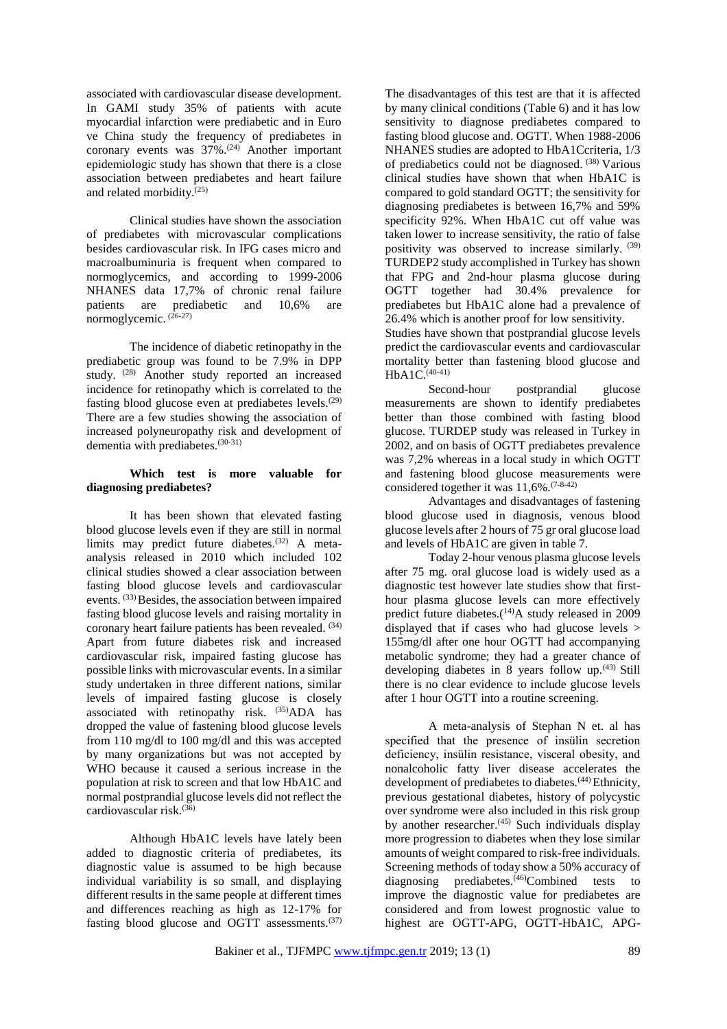associated with cardiovascular disease development. In GAMI study 35% of patients with acute myocardial infarction were prediabetic and in Euro ve China study the frequency of prediabetes in coronary events was  $37\%$ .<sup>(24)</sup> Another important epidemiologic study has shown that there is a close association between prediabetes and heart failure and related morbidity.<sup>(25)</sup>

Clinical studies have shown the association of prediabetes with microvascular complications besides cardiovascular risk. In IFG cases micro and macroalbuminuria is frequent when compared to normoglycemics, and according to 1999-2006 NHANES data 17,7% of chronic renal failure patients are prediabetic and 10,6% are normoglycemic.  $(26-27)$ 

The incidence of diabetic retinopathy in the prediabetic group was found to be 7.9% in DPP study. (28) Another study reported an increased incidence for retinopathy which is correlated to the fasting blood glucose even at prediabetes levels. $(29)$ There are a few studies showing the association of increased polyneuropathy risk and development of dementia with prediabetes.<sup>(30-31)</sup>

#### **Which test is more valuable for diagnosing prediabetes?**

It has been shown that elevated fasting blood glucose levels even if they are still in normal limits may predict future diabetes.<sup>(32)</sup> A metaanalysis released in 2010 which included 102 clinical studies showed a clear association between fasting blood glucose levels and cardiovascular events. (33) Besides, the association between impaired fasting blood glucose levels and raising mortality in coronary heart failure patients has been revealed. (34) Apart from future diabetes risk and increased cardiovascular risk, impaired fasting glucose has possible links with microvascular events. In a similar study undertaken in three different nations, similar levels of impaired fasting glucose is closely associated with retinopathy risk. (35)ADA has dropped the value of fastening blood glucose levels from 110 mg/dl to 100 mg/dl and this was accepted by many organizations but was not accepted by WHO because it caused a serious increase in the population at risk to screen and that low HbA1C and normal postprandial glucose levels did not reflect the cardiovascular risk.(36)

Although HbA1C levels have lately been added to diagnostic criteria of prediabetes, its diagnostic value is assumed to be high because individual variability is so small, and displaying different results in the same people at different times and differences reaching as high as 12-17% for fasting blood glucose and OGTT assessments.(37)

The disadvantages of this test are that it is affected by many clinical conditions (Table 6) and it has low sensitivity to diagnose prediabetes compared to fasting blood glucose and. OGTT. When 1988-2006 NHANES studies are adopted to HbA1Ccriteria, 1/3 of prediabetics could not be diagnosed. (38) Various clinical studies have shown that when HbA1C is compared to gold standard OGTT; the sensitivity for diagnosing prediabetes is between 16,7% and 59% specificity 92%. When HbA1C cut off value was taken lower to increase sensitivity, the ratio of false positivity was observed to increase similarly. (39) TURDEP2 study accomplished in Turkey has shown that FPG and 2nd-hour plasma glucose during OGTT together had 30.4% prevalence for prediabetes but HbA1C alone had a prevalence of 26.4% which is another proof for low sensitivity. Studies have shown that postprandial glucose levels predict the cardiovascular events and cardiovascular mortality better than fastening blood glucose and

HbA1C.<sup>(40-41)</sup> Second-hour postprandial glucose measurements are shown to identify prediabetes better than those combined with fasting blood glucose. TURDEP study was released in Turkey in 2002, and on basis of OGTT prediabetes prevalence was 7,2% whereas in a local study in which OGTT and fastening blood glucose measurements were considered together it was  $11,6\%$ .  $(7-8-42)$ 

Advantages and disadvantages of fastening blood glucose used in diagnosis, venous blood glucose levels after 2 hours of 75 gr oral glucose load and levels of HbA1C are given in table 7.

Today 2-hour venous plasma glucose levels after 75 mg. oral glucose load is widely used as a diagnostic test however late studies show that firsthour plasma glucose levels can more effectively predict future diabetes. $(14)$ A study released in 2009 displayed that if cases who had glucose levels > 155mg/dl after one hour OGTT had accompanying metabolic syndrome; they had a greater chance of developing diabetes in 8 years follow up.<sup>(43)</sup> Still there is no clear evidence to include glucose levels after 1 hour OGTT into a routine screening.

A meta-analysis of Stephan N et. al has specified that the presence of insülin secretion deficiency, insülin resistance, visceral obesity, and nonalcoholic fatty liver disease accelerates the development of prediabetes to diabetes.<sup>(44)</sup> Ethnicity, previous gestational diabetes, history of polycystic over syndrome were also included in this risk group by another researcher.<sup>(45)</sup> Such individuals display more progression to diabetes when they lose similar amounts of weight compared to risk-free individuals. Screening methods of today show a 50% accuracy of diagnosing prediabetes.<sup>(46)</sup>Combined tests to improve the diagnostic value for prediabetes are considered and from lowest prognostic value to highest are OGTT-APG, OGTT-HbA1C, APG-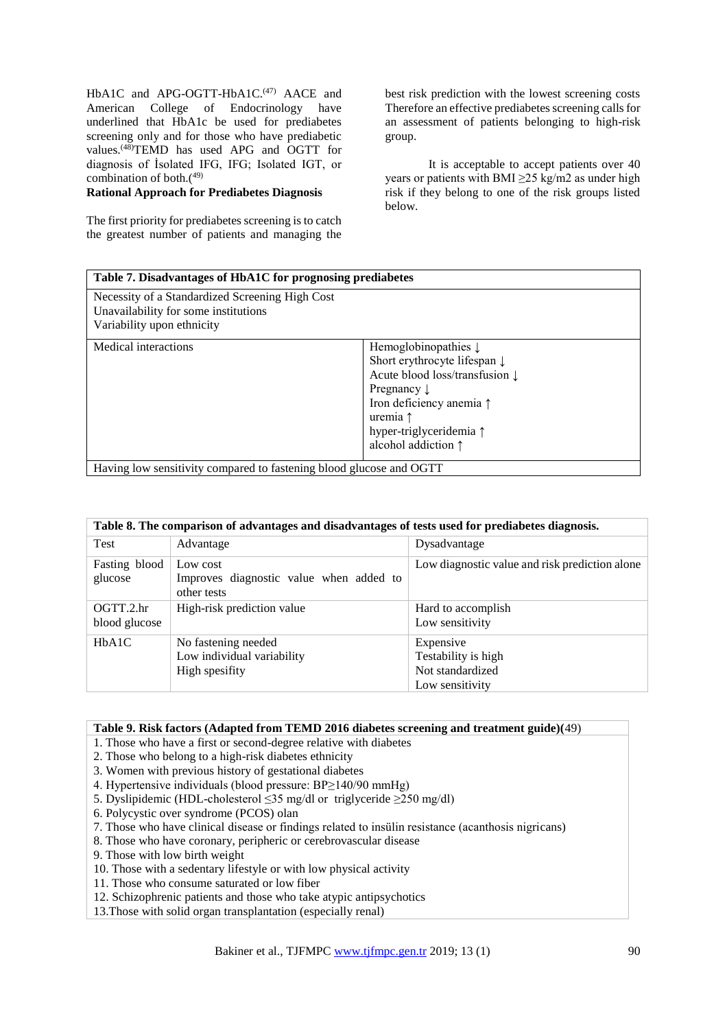HbA1C and APG-OGTT-HbA1C.<sup>(47)</sup> AACE and American College of Endocrinology have underlined that HbA1c be used for prediabetes screening only and for those who have prediabetic values.<sup>(48)</sup>TEMD has used APG and OGTT for diagnosis of İsolated IFG, IFG; Isolated IGT, or combination of both.(49)

#### **Rational Approach for Prediabetes Diagnosis**

The first priority for prediabetes screening is to catch the greatest number of patients and managing the

best risk prediction with the lowest screening costs Therefore an effective prediabetes screening calls for an assessment of patients belonging to high-risk group.

It is acceptable to accept patients over 40 years or patients with BMI  $\geq$ 25 kg/m2 as under high risk if they belong to one of the risk groups listed below.

| Table 7. Disadvantages of HbA1C for prognosing prediabetes                                                            |                                                                                                                                                                                                                                                                        |  |
|-----------------------------------------------------------------------------------------------------------------------|------------------------------------------------------------------------------------------------------------------------------------------------------------------------------------------------------------------------------------------------------------------------|--|
| Necessity of a Standardized Screening High Cost<br>Unavailability for some institutions<br>Variability upon ethnicity |                                                                                                                                                                                                                                                                        |  |
| Medical interactions                                                                                                  | Hemoglobinopathies $\downarrow$<br>Short erythrocyte lifespan $\downarrow$<br>Acute blood loss/transfusion $\downarrow$<br>Pregnancy $\downarrow$<br>Iron deficiency anemia $\uparrow$<br>uremia $\uparrow$<br>hyper-triglyceridemia ↑<br>alcohol addiction $\uparrow$ |  |
| Having low sensitivity compared to fastening blood glucose and OGTT                                                   |                                                                                                                                                                                                                                                                        |  |

| Table 8. The comparison of advantages and disadvantages of tests used for prediabetes diagnosis. |                                                                     |                                                                         |  |
|--------------------------------------------------------------------------------------------------|---------------------------------------------------------------------|-------------------------------------------------------------------------|--|
| Test                                                                                             | Advantage                                                           | Dysadvantage                                                            |  |
| Fasting blood<br>glucose                                                                         | Low cost<br>Improves diagnostic value when added to<br>other tests  | Low diagnostic value and risk prediction alone                          |  |
| OGTT.2.hr<br>blood glucose                                                                       | High-risk prediction value                                          | Hard to accomplish<br>Low sensitivity                                   |  |
| HbA1C                                                                                            | No fastening needed<br>Low individual variability<br>High spesifity | Expensive<br>Testability is high<br>Not standardized<br>Low sensitivity |  |

#### **Table 9. Risk factors (Adapted from TEMD 2016 diabetes screening and treatment guide)(**49)

- 1. Those who have a first or second-degree relative with diabetes
- 2. Those who belong to a high-risk diabetes ethnicity
- 3. Women with previous history of gestational diabetes
- 4. Hypertensive individuals (blood pressure: BP≥140/90 mmHg)
- 5. Dyslipidemic (HDL-cholesterol ≤35 mg/dl or triglyceride ≥250 mg/dl)
- 6. Polycystic over syndrome (PCOS) olan
- 7. Those who have clinical disease or findings related to insülin resistance (acanthosis nigricans)
- 8. Those who have coronary, peripheric or cerebrovascular disease
- 9. Those with low birth weight
- 10. Those with a sedentary lifestyle or with low physical activity
- 11. Those who consume saturated or low fiber
- 12. Schizophrenic patients and those who take atypic antipsychotics

13.Those with solid organ transplantation (especially renal)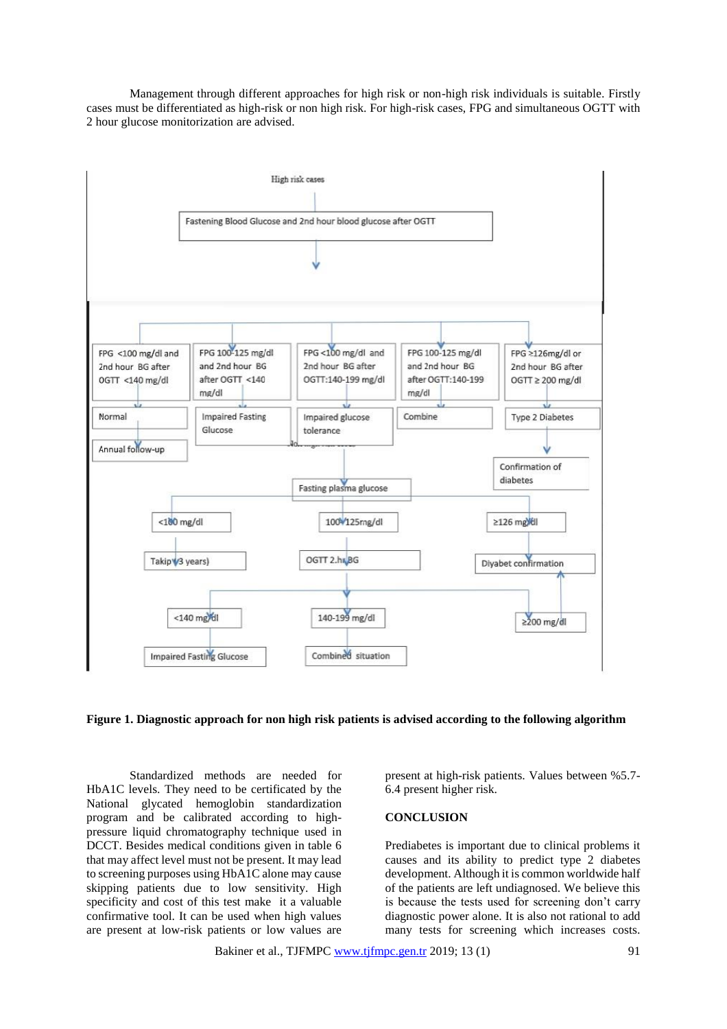Management through different approaches for high risk or non-high risk individuals is suitable. Firstly cases must be differentiated as high-risk or non high risk. For high-risk cases, FPG and simultaneous OGTT with 2 hour glucose monitorization are advised.





Standardized methods are needed for HbA1C levels. They need to be certificated by the National glycated hemoglobin standardization program and be calibrated according to highpressure liquid chromatography technique used in DCCT. Besides medical conditions given in table 6 that may affect level must not be present. It may lead to screening purposes using HbA1C alone may cause skipping patients due to low sensitivity. High specificity and cost of this test make it a valuable confirmative tool. It can be used when high values are present at low-risk patients or low values are present at high-risk patients. Values between %5.7- 6.4 present higher risk.

#### **CONCLUSION**

Prediabetes is important due to clinical problems it causes and its ability to predict type 2 diabetes development. Although it is common worldwide half of the patients are left undiagnosed. We believe this is because the tests used for screening don't carry diagnostic power alone. It is also not rational to add many tests for screening which increases costs.

Bakiner et al., TJFMP[C www.tjfmpc.gen.tr](http://www.tjfmpc.gen.tr/) 2019; 13 (1) 91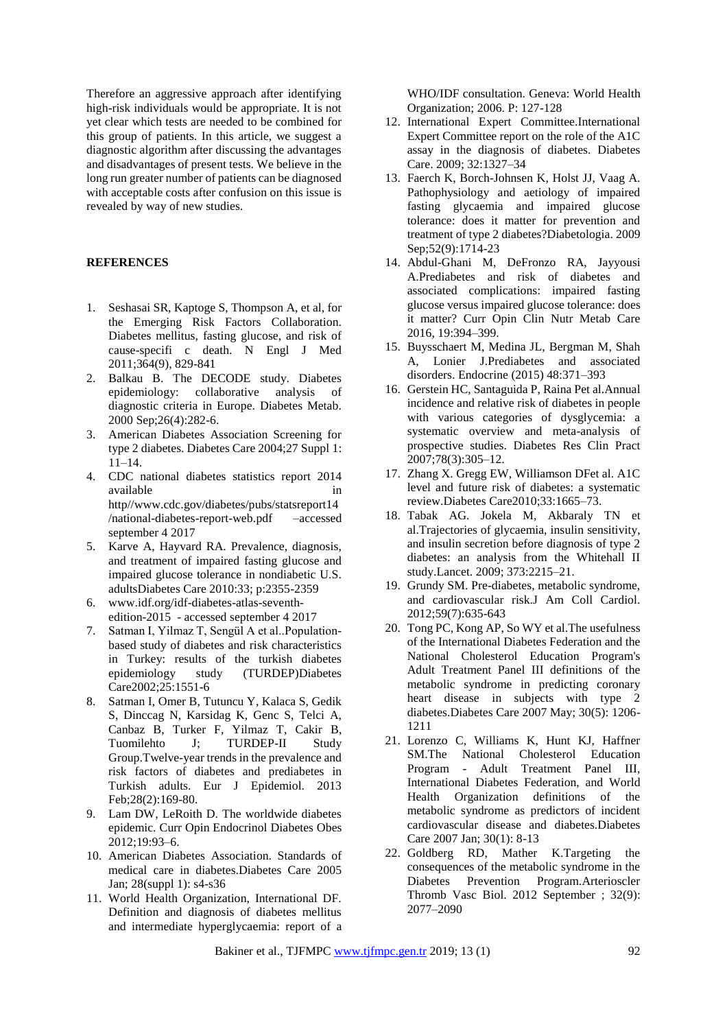Therefore an aggressive approach after identifying high-risk individuals would be appropriate. It is not yet clear which tests are needed to be combined for this group of patients. In this article, we suggest a diagnostic algorithm after discussing the advantages and disadvantages of present tests. We believe in the long run greater number of patients can be diagnosed with acceptable costs after confusion on this issue is revealed by way of new studies.

#### **REFERENCES**

- 1. Seshasai SR, Kaptoge S, Thompson A, et al, for the Emerging Risk Factors Collaboration. Diabetes mellitus, fasting glucose, and risk of cause-specifi c death. N Engl J Med 2011;364(9), 829-841
- 2. Balkau B. The DECODE study. Diabetes epidemiology: collaborative analysis of diagnostic criteria in Europe. Diabetes Metab. 2000 Sep;26(4):282-6.
- 3. American Diabetes Association Screening for type 2 diabetes. Diabetes Care 2004;27 Suppl 1: 11–14.
- 4. CDC national diabetes statistics report 2014 available in the interval of  $\mathbf{u}$  in http//www.cdc.gov/diabetes/pubs/statsreport14 /national-diabetes-report-web.pdf –accessed september 4 2017
- 5. Karve A, Hayvard RA. Prevalence, diagnosis, and treatment of impaired fasting glucose and impaired glucose tolerance in nondiabetic U.S. adultsDiabetes Care 2010:33; p:2355-2359
- 6. www.idf.org/idf-diabetes-atlas-seventhedition-2015 - accessed september 4 2017
- 7. Satman I, Yilmaz T, Sengül A et al..Populationbased study of diabetes and risk characteristics in Turkey: results of the turkish diabetes epidemiology study (TURDEP)Diabetes Care2002;25:1551-6
- 8. Satman I, Omer B, Tutuncu Y, Kalaca S, Gedik S, Dinccag N, Karsidag K, Genc S, Telci A, Canbaz B, Turker F, Yilmaz T, Cakir B, Tuomilehto J; TURDEP-II Study Group.Twelve-year trends in the prevalence and risk factors of diabetes and prediabetes in Turkish adults. Eur J Epidemiol. 2013 Feb;28(2):169-80.
- 9. Lam DW, LeRoith D. The worldwide diabetes epidemic. Curr Opin Endocrinol Diabetes Obes 2012;19:93–6.
- 10. American Diabetes Association. Standards of medical care in diabetes.Diabetes Care 2005 Jan; 28(suppl 1): s4-s36
- 11. World Health Organization, International DF. Definition and diagnosis of diabetes mellitus and intermediate hyperglycaemia: report of a

WHO/IDF consultation. Geneva: World Health Organization; 2006. P: 127-128

- 12. International Expert Committee.International Expert Committee report on the role of the A1C assay in the diagnosis of diabetes. Diabetes Care. 2009; 32:1327–34
- 13. Faerch K, Borch-Johnsen K, Holst JJ, Vaag A. Pathophysiology and aetiology of impaired fasting glycaemia and impaired glucose tolerance: does it matter for prevention and treatment of type 2 diabetes?Diabetologia. 2009 Sep;52(9):1714-23
- 14. Abdul-Ghani M, DeFronzo RA, Jayyousi A.Prediabetes and risk of diabetes and associated complications: impaired fasting glucose versus impaired glucose tolerance: does it matter? Curr Opin Clin Nutr Metab Care 2016, 19:394–399.
- 15. Buysschaert M, Medina JL, Bergman M, Shah A, Lonier J.Prediabetes and associated disorders. Endocrine (2015) 48:371–393
- 16. Gerstein HC, Santaguida P, Raina Pet al.Annual incidence and relative risk of diabetes in people with various categories of dysglycemia: a systematic overview and meta-analysis of prospective studies. Diabetes Res Clin Pract 2007;78(3):305–12.
- 17. Zhang X. Gregg EW, Williamson DFet al. A1C level and future risk of diabetes: a systematic review.Diabetes Care2010;33:1665–73.
- 18. Tabak AG. Jokela M, Akbaraly TN et al.Trajectories of glycaemia, insulin sensitivity, and insulin secretion before diagnosis of type 2 diabetes: an analysis from the Whitehall II study.Lancet. 2009; 373:2215–21.
- 19. Grundy SM. Pre-diabetes, metabolic syndrome, and cardiovascular risk.J Am Coll Cardiol. 2012;59(7):635-643
- 20. Tong PC, Kong AP, So WY et al.The usefulness of the International Diabetes Federation and the National Cholesterol Education Program's Adult Treatment Panel III definitions of the metabolic syndrome in predicting coronary heart disease in subjects with type 2 diabetes.Diabetes Care 2007 May; 30(5): 1206- 1211
- 21. Lorenzo C, Williams K, Hunt KJ, Haffner SM.The National Cholesterol Education Program - Adult Treatment Panel III, International Diabetes Federation, and World Health Organization definitions of the metabolic syndrome as predictors of incident cardiovascular disease and diabetes.Diabetes Care 2007 Jan; 30(1): 8-13
- 22. Goldberg RD, Mather K.Targeting the consequences of the metabolic syndrome in the Diabetes Prevention Program.Arterioscler Thromb Vasc Biol. 2012 September ; 32(9): 2077–2090

Bakiner et al., TJFMP[C www.tjfmpc.gen.tr](http://www.tjfmpc.gen.tr/) 2019; 13 (1) 92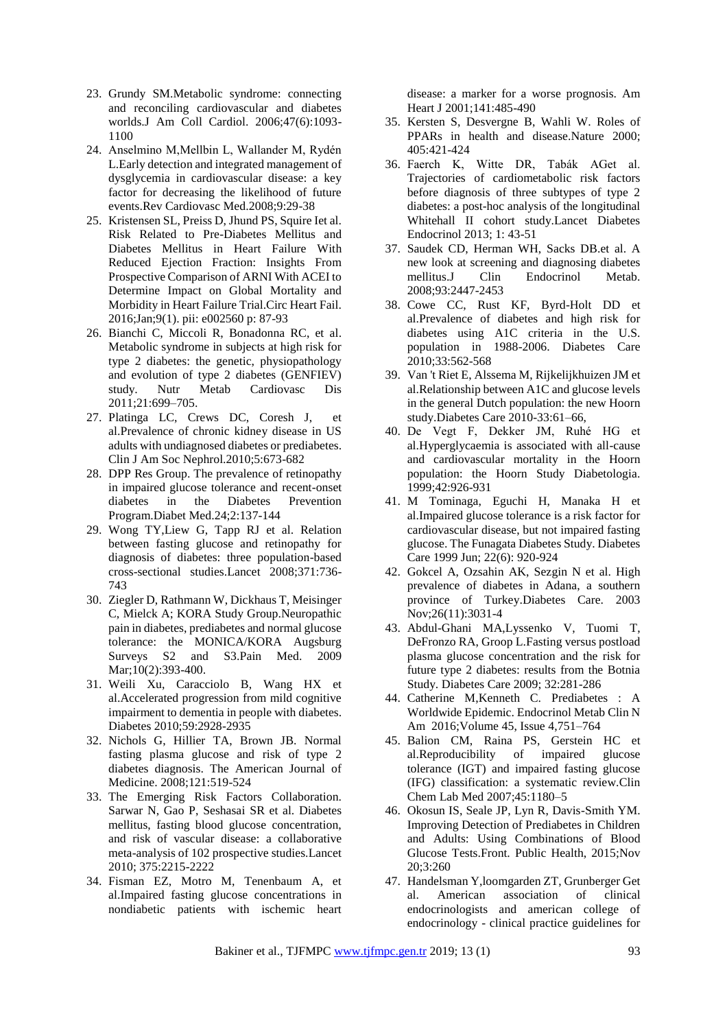- 23. Grundy SM.Metabolic syndrome: connecting and reconciling cardiovascular and diabetes worlds.J Am Coll Cardiol. 2006;47(6):1093- 1100
- 24. Anselmino M,Mellbin L, Wallander M, Rydén L.Early detection and integrated management of dysglycemia in cardiovascular disease: a key factor for decreasing the likelihood of future events.Rev Cardiovasc Med.2008;9:29-38
- 25. Kristensen SL, Preiss D, Jhund PS, Squire Iet al. Risk Related to Pre-Diabetes Mellitus and Diabetes Mellitus in Heart Failure With Reduced Ejection Fraction: Insights From Prospective Comparison of ARNI With ACEI to Determine Impact on Global Mortality and Morbidity in Heart Failure Trial.Circ Heart Fail. 2016;Jan;9(1). pii: e002560 p: 87-93
- 26. Bianchi C, Miccoli R, Bonadonna RC, et al. Metabolic syndrome in subjects at high risk for type 2 diabetes: the genetic, physiopathology and evolution of type 2 diabetes (GENFIEV)<br>study. Nutr Metab Cardiovasc Dis study. Nutr Metab Cardiovasc Dis 2011;21:699–705.
- 27. Platinga LC, Crews DC, Coresh J, et al.Prevalence of chronic kidney disease in US adults with undiagnosed diabetes or prediabetes. Clin J Am Soc Nephrol.2010;5:673-682
- 28. DPP Res Group. The prevalence of retinopathy in impaired glucose tolerance and recent-onset diabetes in the Diabetes Prevention Program.Diabet Med.24;2:137-144
- 29. Wong TY,Liew G, Tapp RJ et al. Relation between fasting glucose and retinopathy for diagnosis of diabetes: three population-based cross-sectional studies.Lancet 2008;371:736- 743
- 30. Ziegler D, Rathmann W, Dickhaus T, Meisinger C, Mielck A; KORA Study Group.Neuropathic pain in diabetes, prediabetes and normal glucose tolerance: the MONICA/KORA Augsburg Surveys S2 and S3.Pain Med. 2009 Mar;10(2):393-400.
- 31. Weili Xu, Caracciolo B, Wang HX et al.Accelerated progression from mild cognitive impairment to dementia in people with diabetes. Diabetes 2010;59:2928-2935
- 32. Nichols G, Hillier TA, Brown JB. Normal fasting plasma glucose and risk of type 2 diabetes diagnosis. The American Journal of Medicine. 2008;121:519-524
- 33. The Emerging Risk Factors Collaboration. Sarwar N, Gao P, Seshasai SR et al. Diabetes mellitus, fasting blood glucose concentration, and risk of vascular disease: a collaborative meta-analysis of 102 prospective studies.Lancet 2010; 375:2215-2222
- 34. Fisman EZ, Motro M, Tenenbaum A, et al.Impaired fasting glucose concentrations in nondiabetic patients with ischemic heart

disease: a marker for a worse prognosis. Am Heart J 2001;141:485-490

- 35. Kersten S, Desvergne B, Wahli W. Roles of PPARs in health and disease.Nature 2000; 405:421-424
- 36. Faerch K, Witte DR, Tabák AGet al. Trajectories of cardiometabolic risk factors before diagnosis of three subtypes of type 2 diabetes: a post-hoc analysis of the longitudinal Whitehall II cohort study.Lancet Diabetes Endocrinol 2013; 1: 43-51
- 37. Saudek CD, Herman WH, Sacks DB.et al. A new look at screening and diagnosing diabetes mellitus.J Clin Endocrinol Metab. 2008;93:2447-2453
- 38. Cowe CC, Rust KF, Byrd-Holt DD et al.Prevalence of diabetes and high risk for diabetes using A1C criteria in the U.S. population in 1988-2006. Diabetes Care 2010;33:562-568
- 39. Van 't Riet E, Alssema M, Rijkelijkhuizen JM et al.Relationship between A1C and glucose levels in the general Dutch population: the new Hoorn study.Diabetes Care 2010-33:61–66,
- 40. De Vegt F, Dekker JM, Ruhé HG et al.Hyperglycaemia is associated with all-cause and cardiovascular mortality in the Hoorn population: the Hoorn Study Diabetologia. 1999;42:926-931
- 41. M Tominaga, Eguchi H, Manaka H et al.Impaired glucose tolerance is a risk factor for cardiovascular disease, but not impaired fasting glucose. The Funagata Diabetes Study. Diabetes Care 1999 Jun; 22(6): 920-924
- 42. Gokcel A, Ozsahin AK, Sezgin N et al. High prevalence of diabetes in Adana, a southern province of Turkey.Diabetes Care. 2003 Nov;26(11):3031-4
- 43. Abdul-Ghani MA,Lyssenko V, Tuomi T, DeFronzo RA, Groop L.Fasting versus postload plasma glucose concentration and the risk for future type 2 diabetes: results from the Botnia Study. Diabetes Care 2009; 32:281-286
- 44. Catherine M,Kenneth C. Prediabetes : A Worldwide Epidemic. Endocrinol Metab Clin N Am 2016;Volume 45, Issue 4,751–764
- 45. Balion CM, Raina PS, Gerstein HC et al.Reproducibility of impaired glucose tolerance (IGT) and impaired fasting glucose (IFG) classification: a systematic review.Clin Chem Lab Med 2007;45:1180–5
- 46. Okosun IS, Seale JP, Lyn R, Davis-Smith YM. Improving Detection of Prediabetes in Children and Adults: Using Combinations of Blood Glucose Tests.Front. Public Health, 2015;Nov 20;3:260
- 47. Handelsman Y,loomgarden ZT, Grunberger Get al. American association of clinical endocrinologists and american college of endocrinology - clinical practice guidelines for